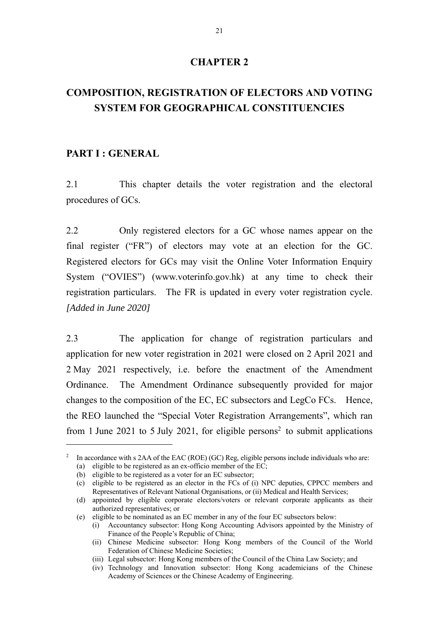## **CHAPTER 2**

# **COMPOSITION, REGISTRATION OF ELECTORS AND VOTING SYSTEM FOR GEOGRAPHICAL CONSTITUENCIES**

#### **PART I : GENERAL**

2.1 This chapter details the voter registration and the electoral procedures of GCs.

2.2 Only registered electors for a GC whose names appear on the final register ("FR") of electors may vote at an election for the GC. Registered electors for GCs may visit the Online Voter Information Enquiry System ("OVIES") (www.voterinfo.gov.hk) at any time to check their registration particulars. The FR is updated in every voter registration cycle. *[Added in June 2020]* 

2.3 The application for change of registration particulars and application for new voter registration in 2021 were closed on 2 April 2021 and 2 May 2021 respectively, i.e. before the enactment of the Amendment Ordinance. The Amendment Ordinance subsequently provided for major changes to the composition of the EC, EC subsectors and LegCo FCs. Hence, the REO launched the "Special Voter Registration Arrangements", which ran from 1 June 2021 to 5 July 2021, for eligible persons<sup>2</sup> to submit applications

<sup>&</sup>lt;sup>2</sup> In accordance with s 2AA of the EAC (ROE) (GC) Reg, eligible persons include individuals who are:

<sup>(</sup>a) eligible to be registered as an ex-officio member of the EC;

<sup>(</sup>b) eligible to be registered as a voter for an EC subsector;

<sup>(</sup>c) eligible to be registered as an elector in the FCs of (i) NPC deputies, CPPCC members and Representatives of Relevant National Organisations, or (ii) Medical and Health Services;

<sup>(</sup>d) appointed by eligible corporate electors/voters or relevant corporate applicants as their authorized representatives; or

<sup>(</sup>e) eligible to be nominated as an EC member in any of the four EC subsectors below:

<sup>(</sup>i) Accountancy subsector: Hong Kong Accounting Advisors appointed by the Ministry of Finance of the People's Republic of China;

<sup>(</sup>ii) Chinese Medicine subsector: Hong Kong members of the Council of the World Federation of Chinese Medicine Societies;

<sup>(</sup>iii) Legal subsector: Hong Kong members of the Council of the China Law Society; and

<sup>(</sup>iv) Technology and Innovation subsector: Hong Kong academicians of the Chinese Academy of Sciences or the Chinese Academy of Engineering.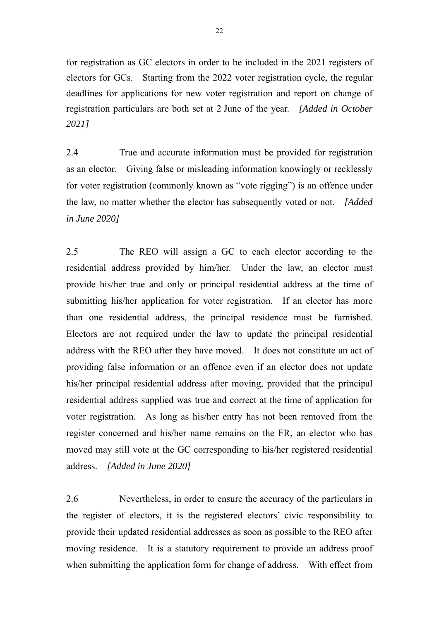for registration as GC electors in order to be included in the 2021 registers of electors for GCs. Starting from the 2022 voter registration cycle, the regular deadlines for applications for new voter registration and report on change of registration particulars are both set at 2 June of the year. *[Added in October 2021]*

2.4 True and accurate information must be provided for registration as an elector. Giving false or misleading information knowingly or recklessly for voter registration (commonly known as "vote rigging") is an offence under the law, no matter whether the elector has subsequently voted or not. *[Added in June 2020]*

2.5 The REO will assign a GC to each elector according to the residential address provided by him/her. Under the law, an elector must provide his/her true and only or principal residential address at the time of submitting his/her application for voter registration. If an elector has more than one residential address, the principal residence must be furnished. Electors are not required under the law to update the principal residential address with the REO after they have moved. It does not constitute an act of providing false information or an offence even if an elector does not update his/her principal residential address after moving, provided that the principal residential address supplied was true and correct at the time of application for voter registration. As long as his/her entry has not been removed from the register concerned and his/her name remains on the FR, an elector who has moved may still vote at the GC corresponding to his/her registered residential address. *[Added in June 2020]*

2.6 Nevertheless, in order to ensure the accuracy of the particulars in the register of electors, it is the registered electors' civic responsibility to provide their updated residential addresses as soon as possible to the REO after moving residence. It is a statutory requirement to provide an address proof when submitting the application form for change of address. With effect from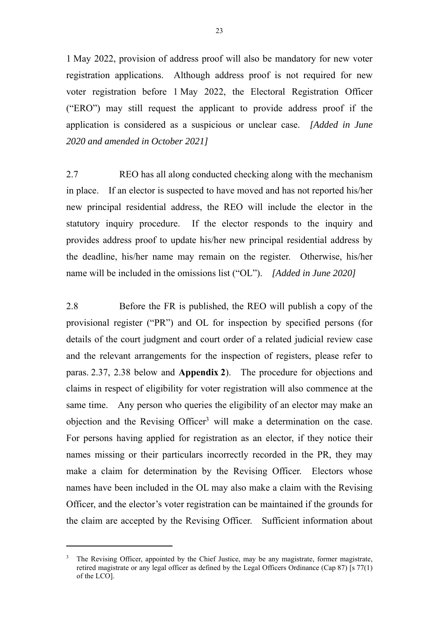1 May 2022, provision of address proof will also be mandatory for new voter registration applications. Although address proof is not required for new voter registration before 1 May 2022, the Electoral Registration Officer ("ERO") may still request the applicant to provide address proof if the application is considered as a suspicious or unclear case. *[Added in June 2020 and amended in October 2021]*

2.7 REO has all along conducted checking along with the mechanism in place. If an elector is suspected to have moved and has not reported his/her new principal residential address, the REO will include the elector in the statutory inquiry procedure. If the elector responds to the inquiry and provides address proof to update his/her new principal residential address by the deadline, his/her name may remain on the register. Otherwise, his/her name will be included in the omissions list ("OL"). *[Added in June 2020]*

2.8 Before the FR is published, the REO will publish a copy of the provisional register ("PR") and OL for inspection by specified persons (for details of the court judgment and court order of a related judicial review case and the relevant arrangements for the inspection of registers, please refer to paras. 2.37, 2.38 below and **Appendix 2**). The procedure for objections and claims in respect of eligibility for voter registration will also commence at the same time. Any person who queries the eligibility of an elector may make an objection and the Revising Officer<sup>3</sup> will make a determination on the case. For persons having applied for registration as an elector, if they notice their names missing or their particulars incorrectly recorded in the PR, they may make a claim for determination by the Revising Officer. Electors whose names have been included in the OL may also make a claim with the Revising Officer, and the elector's voter registration can be maintained if the grounds for the claim are accepted by the Revising Officer. Sufficient information about

 $\overline{a}$ 

<sup>3</sup> The Revising Officer, appointed by the Chief Justice, may be any magistrate, former magistrate, retired magistrate or any legal officer as defined by the Legal Officers Ordinance (Cap 87) [s 77(1) of the LCO].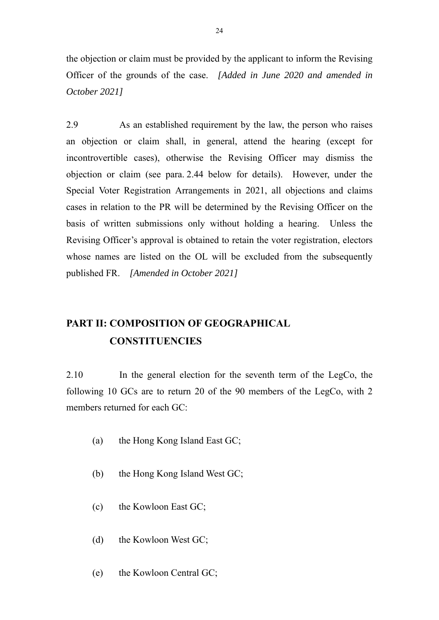the objection or claim must be provided by the applicant to inform the Revising Officer of the grounds of the case. *[Added in June 2020 and amended in October 2021]* 

2.9 As an established requirement by the law, the person who raises an objection or claim shall, in general, attend the hearing (except for incontrovertible cases), otherwise the Revising Officer may dismiss the objection or claim (see para. 2.44 below for details). However, under the Special Voter Registration Arrangements in 2021, all objections and claims cases in relation to the PR will be determined by the Revising Officer on the basis of written submissions only without holding a hearing. Unless the Revising Officer's approval is obtained to retain the voter registration, electors whose names are listed on the OL will be excluded from the subsequently published FR. *[Amended in October 2021]*

# **PART II: COMPOSITION OF GEOGRAPHICAL CONSTITUENCIES**

2.10 In the general election for the seventh term of the LegCo, the following 10 GCs are to return 20 of the 90 members of the LegCo, with 2 members returned for each GC:

- (a) the Hong Kong Island East GC;
- (b) the Hong Kong Island West GC;
- (c) the Kowloon East GC;
- (d) the Kowloon West GC;
- (e) the Kowloon Central GC;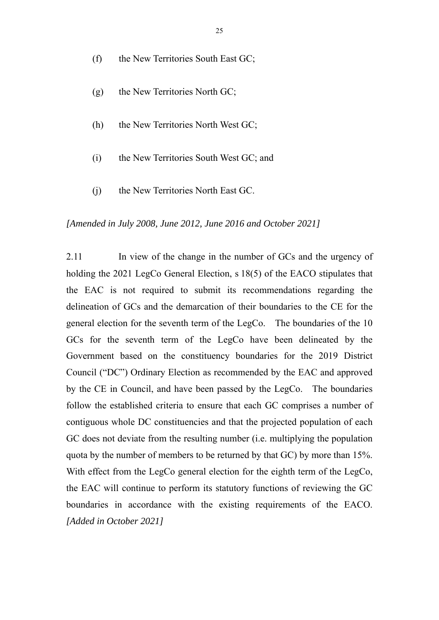- (f) the New Territories South East GC;
- (g) the New Territories North GC;
- (h) the New Territories North West GC;
- (i) the New Territories South West GC; and
- (j) the New Territories North East GC.

#### *[Amended in July 2008, June 2012, June 2016 and October 2021]*

2.11 In view of the change in the number of GCs and the urgency of holding the 2021 LegCo General Election, s 18(5) of the EACO stipulates that the EAC is not required to submit its recommendations regarding the delineation of GCs and the demarcation of their boundaries to the CE for the general election for the seventh term of the LegCo. The boundaries of the 10 GCs for the seventh term of the LegCo have been delineated by the Government based on the constituency boundaries for the 2019 District Council ("DC") Ordinary Election as recommended by the EAC and approved by the CE in Council, and have been passed by the LegCo. The boundaries follow the established criteria to ensure that each GC comprises a number of contiguous whole DC constituencies and that the projected population of each GC does not deviate from the resulting number (i.e. multiplying the population quota by the number of members to be returned by that GC) by more than 15%. With effect from the LegCo general election for the eighth term of the LegCo, the EAC will continue to perform its statutory functions of reviewing the GC boundaries in accordance with the existing requirements of the EACO. *[Added in October 2021]*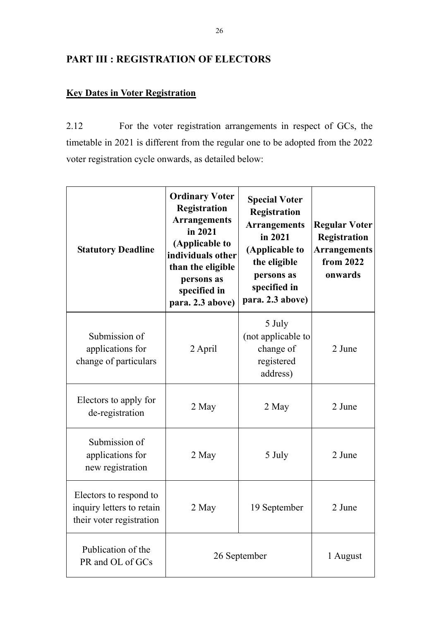# **PART III : REGISTRATION OF ELECTORS**

# **Key Dates in Voter Registration**

2.12 For the voter registration arrangements in respect of GCs, the timetable in 2021 is different from the regular one to be adopted from the 2022 voter registration cycle onwards, as detailed below:

| <b>Statutory Deadline</b>                                                       | <b>Ordinary Voter</b><br><b>Registration</b><br><b>Arrangements</b><br>in 2021<br>(Applicable to<br>individuals other<br>than the eligible<br>persons as<br>specified in<br>para. 2.3 above) | <b>Special Voter</b><br>Registration<br><b>Arrangements</b><br>in 2021<br>(Applicable to<br>the eligible<br>persons as<br>specified in<br>para. 2.3 above) | <b>Regular Voter</b><br><b>Registration</b><br><b>Arrangements</b><br>from 2022<br>onwards |
|---------------------------------------------------------------------------------|----------------------------------------------------------------------------------------------------------------------------------------------------------------------------------------------|------------------------------------------------------------------------------------------------------------------------------------------------------------|--------------------------------------------------------------------------------------------|
| Submission of<br>applications for<br>change of particulars                      | 2 April                                                                                                                                                                                      | 5 July<br>(not applicable to<br>change of<br>registered<br>address)                                                                                        | 2 June                                                                                     |
| Electors to apply for<br>de-registration                                        | 2 May                                                                                                                                                                                        | 2 May                                                                                                                                                      | 2 June                                                                                     |
| Submission of<br>applications for<br>new registration                           | 2 May                                                                                                                                                                                        | 5 July                                                                                                                                                     | 2 June                                                                                     |
| Electors to respond to<br>inquiry letters to retain<br>their voter registration | 2 May                                                                                                                                                                                        | 19 September                                                                                                                                               | 2 June                                                                                     |
| Publication of the<br>PR and OL of GCs                                          | 26 September                                                                                                                                                                                 |                                                                                                                                                            | 1 August                                                                                   |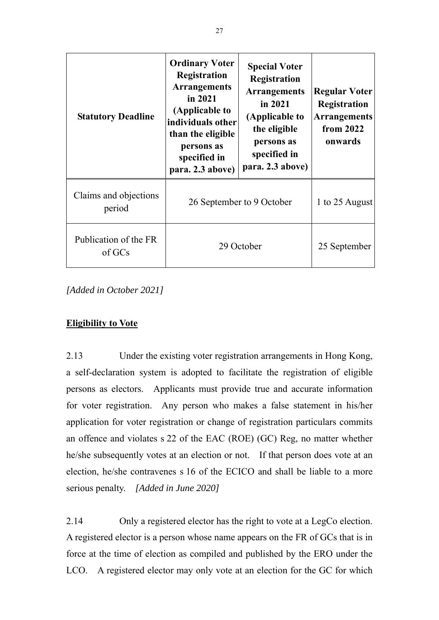| <b>Statutory Deadline</b>       | <b>Ordinary Voter</b><br><b>Registration</b><br><b>Arrangements</b><br>in 2021<br>(Applicable to<br>individuals other<br>than the eligible<br>persons as<br>specified in<br>para. 2.3 above) | <b>Special Voter</b><br>Registration<br><b>Arrangements</b><br>in $2021$<br>(Applicable to<br>the eligible<br>persons as<br>specified in<br>para. 2.3 above) | <b>Regular Voter</b><br><b>Registration</b><br><b>Arrangements</b><br>from 2022<br>onwards |
|---------------------------------|----------------------------------------------------------------------------------------------------------------------------------------------------------------------------------------------|--------------------------------------------------------------------------------------------------------------------------------------------------------------|--------------------------------------------------------------------------------------------|
| Claims and objections<br>period | 26 September to 9 October                                                                                                                                                                    |                                                                                                                                                              | 1 to 25 August                                                                             |
| Publication of the FR<br>of GCs | 29 October                                                                                                                                                                                   |                                                                                                                                                              | 25 September                                                                               |

*[Added in October 2021]* 

## **Eligibility to Vote**

2.13 Under the existing voter registration arrangements in Hong Kong, a self-declaration system is adopted to facilitate the registration of eligible persons as electors. Applicants must provide true and accurate information for voter registration. Any person who makes a false statement in his/her application for voter registration or change of registration particulars commits an offence and violates s 22 of the EAC (ROE) (GC) Reg, no matter whether he/she subsequently votes at an election or not. If that person does vote at an election, he/she contravenes s 16 of the ECICO and shall be liable to a more serious penalty. *[Added in June 2020]* 

2.14 Only a registered elector has the right to vote at a LegCo election. A registered elector is a person whose name appears on the FR of GCs that is in force at the time of election as compiled and published by the ERO under the LCO. A registered elector may only vote at an election for the GC for which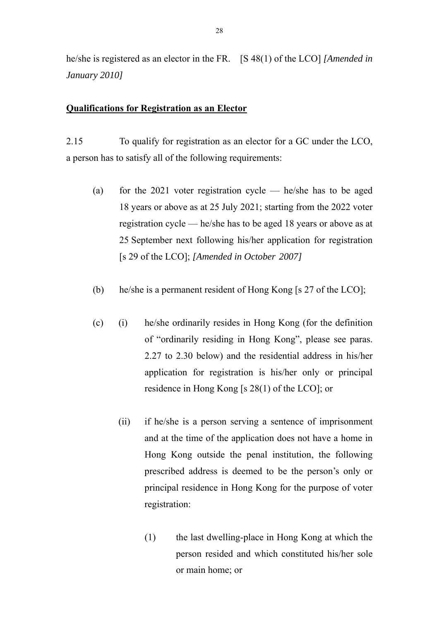he/she is registered as an elector in the FR. [S 48(1) of the LCO] *[Amended in January 2010]*

#### **Qualifications for Registration as an Elector**

2.15 To qualify for registration as an elector for a GC under the LCO, a person has to satisfy all of the following requirements:

- (a) for the 2021 voter registration cycle  $-$  he/she has to be aged 18 years or above as at 25 July 2021; starting from the 2022 voter registration cycle — he/she has to be aged 18 years or above as at 25 September next following his/her application for registration [s 29 of the LCO]; *[Amended in October 2007]*
- (b) he/she is a permanent resident of Hong Kong [s 27 of the LCO];
- (c) (i) he/she ordinarily resides in Hong Kong (for the definition of "ordinarily residing in Hong Kong", please see paras. 2.27 to 2.30 below) and the residential address in his/her application for registration is his/her only or principal residence in Hong Kong [s 28(1) of the LCO]; or
	- (ii) if he/she is a person serving a sentence of imprisonment and at the time of the application does not have a home in Hong Kong outside the penal institution, the following prescribed address is deemed to be the person's only or principal residence in Hong Kong for the purpose of voter registration:
		- (1) the last dwelling-place in Hong Kong at which the person resided and which constituted his/her sole or main home; or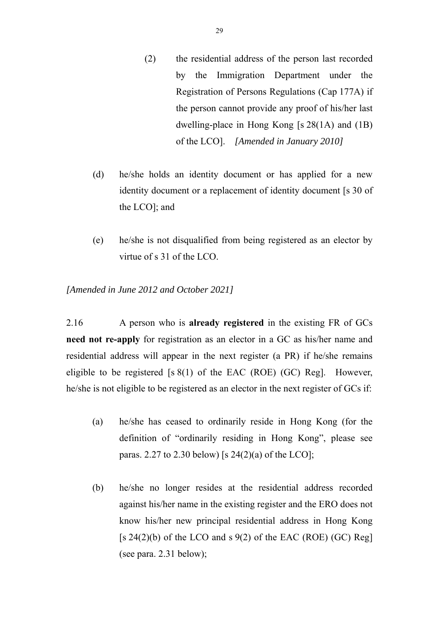- (2) the residential address of the person last recorded by the Immigration Department under the Registration of Persons Regulations (Cap 177A) if the person cannot provide any proof of his/her last dwelling-place in Hong Kong [s 28(1A) and (1B) of the LCO]. *[Amended in January 2010]*
- (d) he/she holds an identity document or has applied for a new identity document or a replacement of identity document [s 30 of the LCO]; and
- (e) he/she is not disqualified from being registered as an elector by virtue of s 31 of the LCO.

*[Amended in June 2012 and October 2021]* 

2.16 A person who is **already registered** in the existing FR of GCs **need not re-apply** for registration as an elector in a GC as his/her name and residential address will appear in the next register (a PR) if he/she remains eligible to be registered  $[s 8(1)$  of the EAC (ROE) (GC) Reg]. However, he/she is not eligible to be registered as an elector in the next register of GCs if:

- (a) he/she has ceased to ordinarily reside in Hong Kong (for the definition of "ordinarily residing in Hong Kong", please see paras. 2.27 to 2.30 below) [s  $24(2)(a)$  of the LCO];
- (b) he/she no longer resides at the residential address recorded against his/her name in the existing register and the ERO does not know his/her new principal residential address in Hong Kong  $[s 24(2)(b)$  of the LCO and s 9(2) of the EAC (ROE) (GC) Reg] (see para. 2.31 below);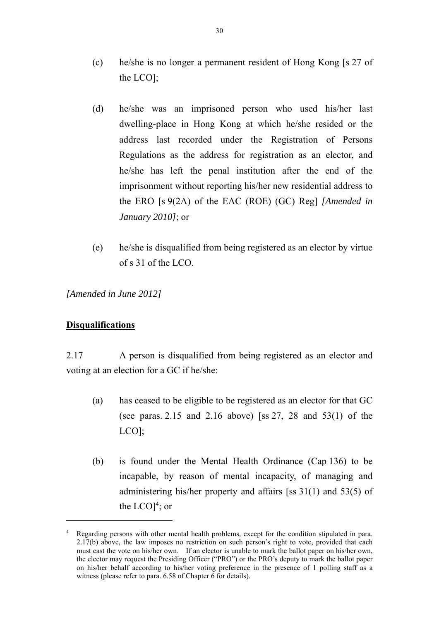- (c) he/she is no longer a permanent resident of Hong Kong [s 27 of the LCO];
- (d) he/she was an imprisoned person who used his/her last dwelling-place in Hong Kong at which he/she resided or the address last recorded under the Registration of Persons Regulations as the address for registration as an elector, and he/she has left the penal institution after the end of the imprisonment without reporting his/her new residential address to the ERO [s 9(2A) of the EAC (ROE) (GC) Reg] *[Amended in January 2010]*; or
- (e) he/she is disqualified from being registered as an elector by virtue of s 31 of the LCO.

*[Amended in June 2012]* 

## **Disqualifications**

 $\overline{a}$ 

2.17 A person is disqualified from being registered as an elector and voting at an election for a GC if he/she:

- (a) has ceased to be eligible to be registered as an elector for that GC (see paras. 2.15 and 2.16 above) [ss 27, 28 and 53(1) of the LCO];
- (b) is found under the Mental Health Ordinance (Cap 136) to be incapable, by reason of mental incapacity, of managing and administering his/her property and affairs [ss 31(1) and 53(5) of the  $LCD]$ <sup>4</sup>; or

<sup>&</sup>lt;sup>4</sup> Regarding persons with other mental health problems, except for the condition stipulated in para. 2.17(b) above, the law imposes no restriction on such person's right to vote, provided that each must cast the vote on his/her own. If an elector is unable to mark the ballot paper on his/her own, the elector may request the Presiding Officer ("PRO") or the PRO's deputy to mark the ballot paper on his/her behalf according to his/her voting preference in the presence of 1 polling staff as a witness (please refer to para. 6.58 of Chapter 6 for details).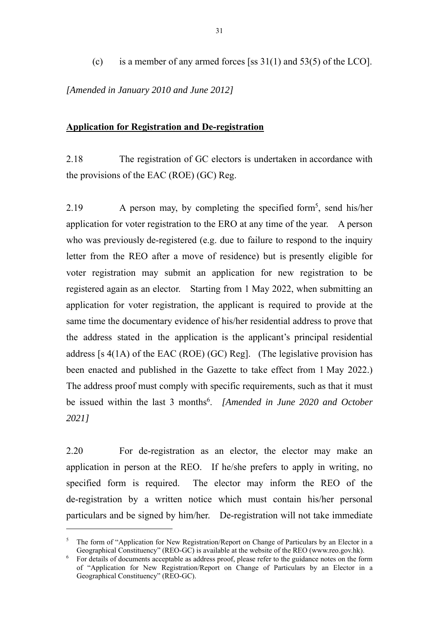(c) is a member of any armed forces [ss  $31(1)$  and  $53(5)$  of the LCO].

*[Amended in January 2010 and June 2012]* 

### **Application for Registration and De-registration**

2.18 The registration of GC electors is undertaken in accordance with the provisions of the EAC (ROE) (GC) Reg.

2.19  $\blacksquare$  A person may, by completing the specified form<sup>5</sup>, send his/her application for voter registration to the ERO at any time of the year. A person who was previously de-registered (e.g. due to failure to respond to the inquiry letter from the REO after a move of residence) but is presently eligible for voter registration may submit an application for new registration to be registered again as an elector. Starting from 1 May 2022, when submitting an application for voter registration, the applicant is required to provide at the same time the documentary evidence of his/her residential address to prove that the address stated in the application is the applicant's principal residential address [s  $4(1A)$  of the EAC (ROE) (GC) Reg]. (The legislative provision has been enacted and published in the Gazette to take effect from 1 May 2022.) The address proof must comply with specific requirements, such as that it must be issued within the last 3 months<sup>6</sup>. [Amended in June 2020 and October *2021]* 

2.20 For de-registration as an elector, the elector may make an application in person at the REO. If he/she prefers to apply in writing, no specified form is required. The elector may inform the REO of the de-registration by a written notice which must contain his/her personal particulars and be signed by him/her. De-registration will not take immediate

 $\overline{a}$ 

<sup>&</sup>lt;sup>5</sup> The form of "Application for New Registration/Report on Change of Particulars by an Elector in a Geographical Constituency" (REO-GC) is available at the website of the REO (www.reo.gov.hk).

 $6\degree$  For details of documents acceptable as address proof, please refer to the guidance notes on the form of "Application for New Registration/Report on Change of Particulars by an Elector in a Geographical Constituency" (REO-GC).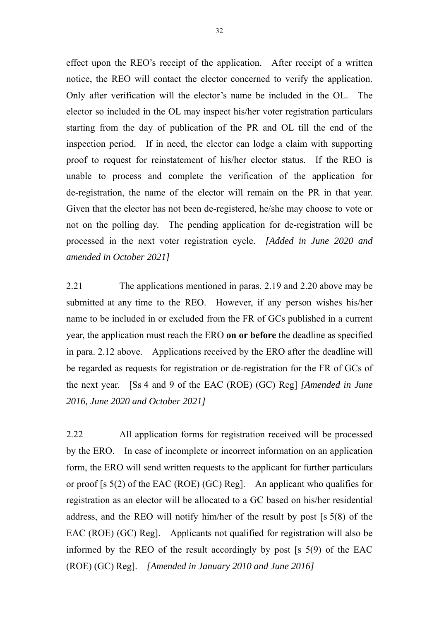effect upon the REO's receipt of the application. After receipt of a written notice, the REO will contact the elector concerned to verify the application. Only after verification will the elector's name be included in the OL. The elector so included in the OL may inspect his/her voter registration particulars starting from the day of publication of the PR and OL till the end of the inspection period. If in need, the elector can lodge a claim with supporting proof to request for reinstatement of his/her elector status. If the REO is unable to process and complete the verification of the application for de-registration, the name of the elector will remain on the PR in that year. Given that the elector has not been de-registered, he/she may choose to vote or not on the polling day. The pending application for de-registration will be processed in the next voter registration cycle. *[Added in June 2020 and amended in October 2021]*

2.21 The applications mentioned in paras. 2.19 and 2.20 above may be submitted at any time to the REO. However, if any person wishes his/her name to be included in or excluded from the FR of GCs published in a current year, the application must reach the ERO **on or before** the deadline as specified in para. 2.12 above. Applications received by the ERO after the deadline will be regarded as requests for registration or de-registration for the FR of GCs of the next year. [Ss 4 and 9 of the EAC (ROE) (GC) Reg] *[Amended in June 2016, June 2020 and October 2021]* 

2.22 All application forms for registration received will be processed by the ERO. In case of incomplete or incorrect information on an application form, the ERO will send written requests to the applicant for further particulars or proof [s 5(2) of the EAC (ROE) (GC) Reg]. An applicant who qualifies for registration as an elector will be allocated to a GC based on his/her residential address, and the REO will notify him/her of the result by post [s 5(8) of the EAC (ROE) (GC) Reg]. Applicants not qualified for registration will also be informed by the REO of the result accordingly by post [s 5(9) of the EAC (ROE) (GC) Reg]. *[Amended in January 2010 and June 2016]*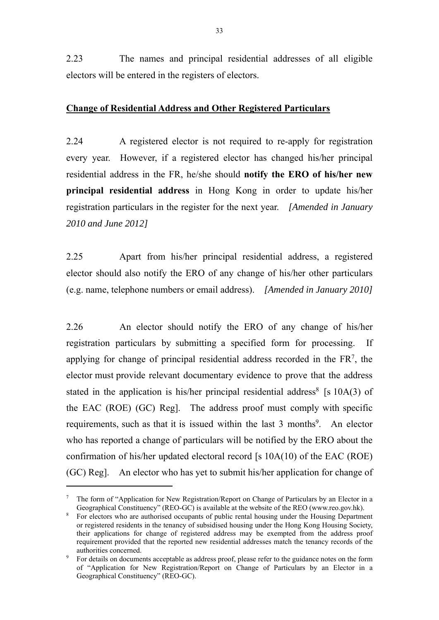2.23 The names and principal residential addresses of all eligible electors will be entered in the registers of electors.

#### **Change of Residential Address and Other Registered Particulars**

2.24 A registered elector is not required to re-apply for registration every year. However, if a registered elector has changed his/her principal residential address in the FR, he/she should **notify the ERO of his/her new principal residential address** in Hong Kong in order to update his/her registration particulars in the register for the next year. *[Amended in January 2010 and June 2012]*

2.25 Apart from his/her principal residential address, a registered elector should also notify the ERO of any change of his/her other particulars (e.g. name, telephone numbers or email address). *[Amended in January 2010]*

2.26 An elector should notify the ERO of any change of his/her registration particulars by submitting a specified form for processing. If applying for change of principal residential address recorded in the  $FR<sup>7</sup>$ , the elector must provide relevant documentary evidence to prove that the address stated in the application is his/her principal residential address<sup>8</sup> [s  $10A(3)$  of the EAC (ROE) (GC) Reg]. The address proof must comply with specific requirements, such as that it is issued within the last 3 months<sup>9</sup>. An elector who has reported a change of particulars will be notified by the ERO about the confirmation of his/her updated electoral record [s 10A(10) of the EAC (ROE) (GC) Reg]. An elector who has yet to submit his/her application for change of

 $\overline{a}$ 

<sup>7</sup> The form of "Application for New Registration/Report on Change of Particulars by an Elector in a Geographical Constituency" (REO-GC) is available at the website of the REO (www.reo.gov.hk).

<sup>&</sup>lt;sup>8</sup> For electors who are authorised occupants of public rental housing under the Housing Department or registered residents in the tenancy of subsidised housing under the Hong Kong Housing Society, their applications for change of registered address may be exempted from the address proof requirement provided that the reported new residential addresses match the tenancy records of the authorities concerned.

<sup>9</sup> For details on documents acceptable as address proof, please refer to the guidance notes on the form of "Application for New Registration/Report on Change of Particulars by an Elector in a Geographical Constituency" (REO-GC).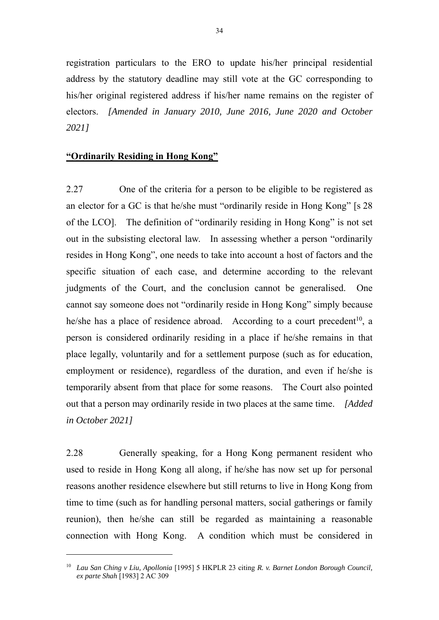registration particulars to the ERO to update his/her principal residential address by the statutory deadline may still vote at the GC corresponding to his/her original registered address if his/her name remains on the register of electors. *[Amended in January 2010, June 2016, June 2020 and October 2021]* 

#### **"Ordinarily Residing in Hong Kong"**

 $\overline{a}$ 

2.27 One of the criteria for a person to be eligible to be registered as an elector for a GC is that he/she must "ordinarily reside in Hong Kong" [s 28 of the LCO]. The definition of "ordinarily residing in Hong Kong" is not set out in the subsisting electoral law. In assessing whether a person "ordinarily resides in Hong Kong", one needs to take into account a host of factors and the specific situation of each case, and determine according to the relevant judgments of the Court, and the conclusion cannot be generalised. One cannot say someone does not "ordinarily reside in Hong Kong" simply because he/she has a place of residence abroad. According to a court precedent<sup>10</sup>, a person is considered ordinarily residing in a place if he/she remains in that place legally, voluntarily and for a settlement purpose (such as for education, employment or residence), regardless of the duration, and even if he/she is temporarily absent from that place for some reasons. The Court also pointed out that a person may ordinarily reside in two places at the same time. *[Added in October 2021]* 

2.28 Generally speaking, for a Hong Kong permanent resident who used to reside in Hong Kong all along, if he/she has now set up for personal reasons another residence elsewhere but still returns to live in Hong Kong from time to time (such as for handling personal matters, social gatherings or family reunion), then he/she can still be regarded as maintaining a reasonable connection with Hong Kong. A condition which must be considered in

<sup>10</sup> *Lau San Ching v Liu, Apollonia* [1995] 5 HKPLR 23 citing *R. v. Barnet London Borough Council, ex parte Shah* [1983] 2 AC 309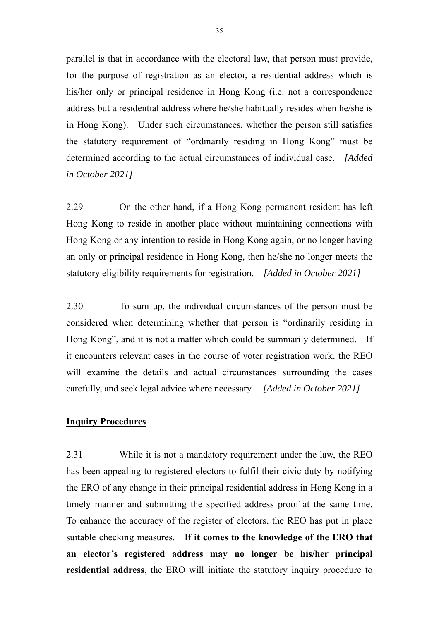parallel is that in accordance with the electoral law, that person must provide, for the purpose of registration as an elector, a residential address which is his/her only or principal residence in Hong Kong (i.e. not a correspondence address but a residential address where he/she habitually resides when he/she is in Hong Kong). Under such circumstances, whether the person still satisfies the statutory requirement of "ordinarily residing in Hong Kong" must be determined according to the actual circumstances of individual case. *[Added in October 2021]* 

2.29 On the other hand, if a Hong Kong permanent resident has left Hong Kong to reside in another place without maintaining connections with Hong Kong or any intention to reside in Hong Kong again, or no longer having an only or principal residence in Hong Kong, then he/she no longer meets the statutory eligibility requirements for registration. *[Added in October 2021]* 

2.30 To sum up, the individual circumstances of the person must be considered when determining whether that person is "ordinarily residing in Hong Kong", and it is not a matter which could be summarily determined. If it encounters relevant cases in the course of voter registration work, the REO will examine the details and actual circumstances surrounding the cases carefully, and seek legal advice where necessary. *[Added in October 2021]* 

#### **Inquiry Procedures**

2.31 While it is not a mandatory requirement under the law, the REO has been appealing to registered electors to fulfil their civic duty by notifying the ERO of any change in their principal residential address in Hong Kong in a timely manner and submitting the specified address proof at the same time. To enhance the accuracy of the register of electors, the REO has put in place suitable checking measures. If **it comes to the knowledge of the ERO that an elector's registered address may no longer be his/her principal residential address**, the ERO will initiate the statutory inquiry procedure to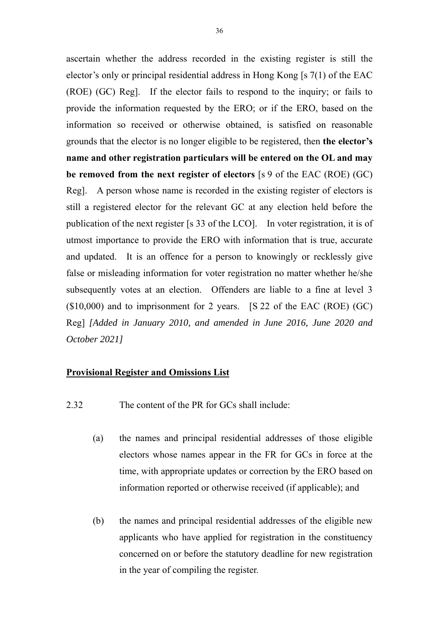ascertain whether the address recorded in the existing register is still the elector's only or principal residential address in Hong Kong [s 7(1) of the EAC (ROE) (GC) Reg]. If the elector fails to respond to the inquiry; or fails to provide the information requested by the ERO; or if the ERO, based on the information so received or otherwise obtained, is satisfied on reasonable grounds that the elector is no longer eligible to be registered, then **the elector's name and other registration particulars will be entered on the OL and may be removed from the next register of electors** [s 9 of the EAC (ROE) (GC) Reg]. A person whose name is recorded in the existing register of electors is still a registered elector for the relevant GC at any election held before the publication of the next register [s 33 of the LCO]. In voter registration, it is of utmost importance to provide the ERO with information that is true, accurate and updated. It is an offence for a person to knowingly or recklessly give false or misleading information for voter registration no matter whether he/she subsequently votes at an election. Offenders are liable to a fine at level 3 (\$10,000) and to imprisonment for 2 years. [S 22 of the EAC (ROE) (GC) Reg] *[Added in January 2010, and amended in June 2016, June 2020 and October 2021]* 

### **Provisional Register and Omissions List**

- 2.32 The content of the PR for GCs shall include:
	- (a) the names and principal residential addresses of those eligible electors whose names appear in the FR for GCs in force at the time, with appropriate updates or correction by the ERO based on information reported or otherwise received (if applicable); and
	- (b) the names and principal residential addresses of the eligible new applicants who have applied for registration in the constituency concerned on or before the statutory deadline for new registration in the year of compiling the register.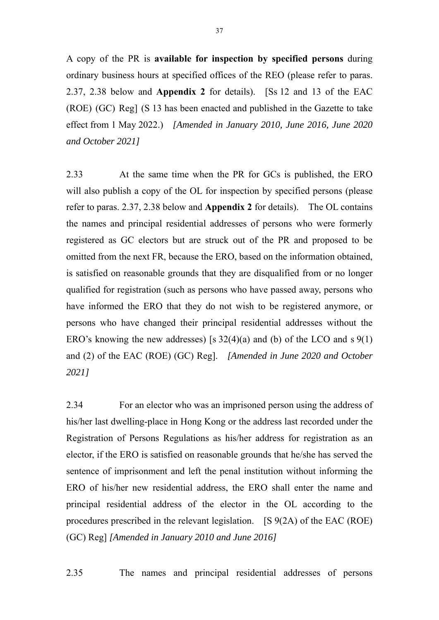A copy of the PR is **available for inspection by specified persons** during ordinary business hours at specified offices of the REO (please refer to paras. 2.37, 2.38 below and **Appendix 2** for details). [Ss 12 and 13 of the EAC (ROE) (GC) Reg] (S 13 has been enacted and published in the Gazette to take effect from 1 May 2022.) *[Amended in January 2010, June 2016, June 2020 and October 2021]* 

2.33 At the same time when the PR for GCs is published, the ERO will also publish a copy of the OL for inspection by specified persons (please) refer to paras. 2.37, 2.38 below and **Appendix 2** for details). The OL contains the names and principal residential addresses of persons who were formerly registered as GC electors but are struck out of the PR and proposed to be omitted from the next FR, because the ERO, based on the information obtained, is satisfied on reasonable grounds that they are disqualified from or no longer qualified for registration (such as persons who have passed away, persons who have informed the ERO that they do not wish to be registered anymore, or persons who have changed their principal residential addresses without the ERO's knowing the new addresses) [s  $32(4)(a)$  and (b) of the LCO and s  $9(1)$ and (2) of the EAC (ROE) (GC) Reg]. *[Amended in June 2020 and October 2021]*

2.34 For an elector who was an imprisoned person using the address of his/her last dwelling-place in Hong Kong or the address last recorded under the Registration of Persons Regulations as his/her address for registration as an elector, if the ERO is satisfied on reasonable grounds that he/she has served the sentence of imprisonment and left the penal institution without informing the ERO of his/her new residential address, the ERO shall enter the name and principal residential address of the elector in the OL according to the procedures prescribed in the relevant legislation. [S 9(2A) of the EAC (ROE) (GC) Reg] *[Amended in January 2010 and June 2016]* 

2.35 The names and principal residential addresses of persons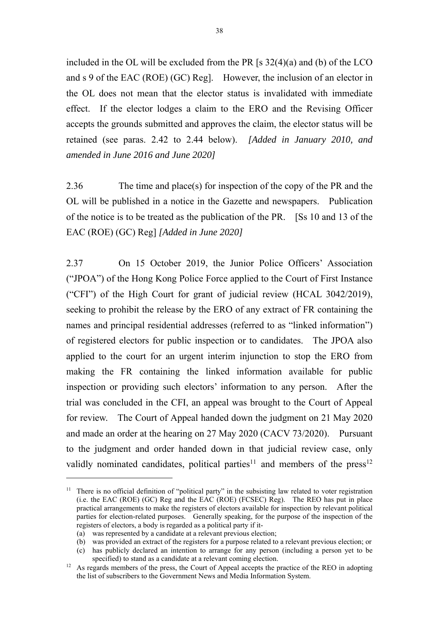included in the OL will be excluded from the PR [s 32(4)(a) and (b) of the LCO and s 9 of the EAC (ROE) (GC) Reg]. However, the inclusion of an elector in the OL does not mean that the elector status is invalidated with immediate effect. If the elector lodges a claim to the ERO and the Revising Officer accepts the grounds submitted and approves the claim, the elector status will be retained (see paras. 2.42 to 2.44 below). *[Added in January 2010, and amended in June 2016 and June 2020]* 

2.36 The time and place(s) for inspection of the copy of the PR and the OL will be published in a notice in the Gazette and newspapers. Publication of the notice is to be treated as the publication of the PR. [Ss 10 and 13 of the EAC (ROE) (GC) Reg] *[Added in June 2020]*

2.37 On 15 October 2019, the Junior Police Officers' Association ("JPOA") of the Hong Kong Police Force applied to the Court of First Instance ("CFI") of the High Court for grant of judicial review (HCAL 3042/2019), seeking to prohibit the release by the ERO of any extract of FR containing the names and principal residential addresses (referred to as "linked information") of registered electors for public inspection or to candidates. The JPOA also applied to the court for an urgent interim injunction to stop the ERO from making the FR containing the linked information available for public inspection or providing such electors' information to any person. After the trial was concluded in the CFI, an appeal was brought to the Court of Appeal for review. The Court of Appeal handed down the judgment on 21 May 2020 and made an order at the hearing on 27 May 2020 (CACV 73/2020). Pursuant to the judgment and order handed down in that judicial review case, only validly nominated candidates, political parties<sup>11</sup> and members of the press<sup>12</sup>

 $\overline{a}$ 

<sup>&</sup>lt;sup>11</sup> There is no official definition of "political party" in the subsisting law related to voter registration (i.e. the EAC (ROE) (GC) Reg and the EAC (ROE) (FCSEC) Reg). The REO has put in place practical arrangements to make the registers of electors available for inspection by relevant political parties for election-related purposes. Generally speaking, for the purpose of the inspection of the registers of electors, a body is regarded as a political party if it-

<sup>(</sup>a) was represented by a candidate at a relevant previous election;

<sup>(</sup>b) was provided an extract of the registers for a purpose related to a relevant previous election; or

<sup>(</sup>c) has publicly declared an intention to arrange for any person (including a person yet to be specified) to stand as a candidate at a relevant coming election.<br><sup>12</sup> As regards members of the press, the Court of Appeal accepts the practice of the REO in adopting

the list of subscribers to the Government News and Media Information System.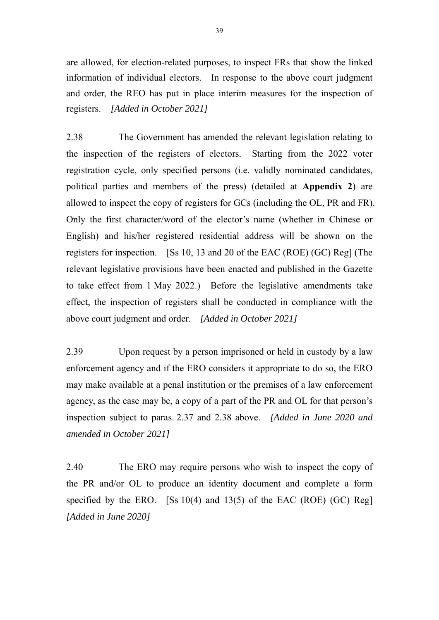are allowed, for election-related purposes, to inspect FRs that show the linked information of individual electors. In response to the above court judgment and order, the REO has put in place interim measures for the inspection of registers. *[Added in October 2021]*

2.38 The Government has amended the relevant legislation relating to the inspection of the registers of electors. Starting from the 2022 voter registration cycle, only specified persons (i.e. validly nominated candidates, political parties and members of the press) (detailed at **Appendix 2**) are allowed to inspect the copy of registers for GCs (including the OL, PR and FR). Only the first character/word of the elector's name (whether in Chinese or English) and his/her registered residential address will be shown on the registers for inspection. [Ss 10, 13 and 20 of the EAC (ROE) (GC) Reg] (The relevant legislative provisions have been enacted and published in the Gazette to take effect from 1 May 2022.) Before the legislative amendments take effect, the inspection of registers shall be conducted in compliance with the above court judgment and order. *[Added in October 2021]*

2.39 Upon request by a person imprisoned or held in custody by a law enforcement agency and if the ERO considers it appropriate to do so, the ERO may make available at a penal institution or the premises of a law enforcement agency, as the case may be, a copy of a part of the PR and OL for that person's inspection subject to paras. 2.37 and 2.38 above. *[Added in June 2020 and amended in October 2021]*

2.40 The ERO may require persons who wish to inspect the copy of the PR and/or OL to produce an identity document and complete a form specified by the ERO.  $[$ Ss 10(4) and 13(5) of the EAC (ROE) (GC) Reg] *[Added in June 2020]*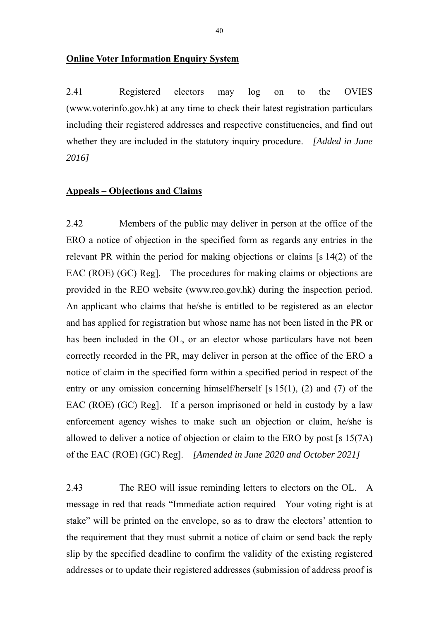2.41 Registered electors may log on to the OVIES (www.voterinfo.gov.hk) at any time to check their latest registration particulars including their registered addresses and respective constituencies, and find out whether they are included in the statutory inquiry procedure. *[Added in June 2016]* 

#### **Appeals – Objections and Claims**

2.42 Members of the public may deliver in person at the office of the ERO a notice of objection in the specified form as regards any entries in the relevant PR within the period for making objections or claims [s 14(2) of the EAC (ROE) (GC) Reg. The procedures for making claims or objections are provided in the REO website (www.reo.gov.hk) during the inspection period. An applicant who claims that he/she is entitled to be registered as an elector and has applied for registration but whose name has not been listed in the PR or has been included in the OL, or an elector whose particulars have not been correctly recorded in the PR, may deliver in person at the office of the ERO a notice of claim in the specified form within a specified period in respect of the entry or any omission concerning himself/herself [s  $15(1)$ , (2) and (7) of the EAC (ROE) (GC) Reg]. If a person imprisoned or held in custody by a law enforcement agency wishes to make such an objection or claim, he/she is allowed to deliver a notice of objection or claim to the ERO by post [s 15(7A) of the EAC (ROE) (GC) Reg]. *[Amended in June 2020 and October 2021]*

2.43 The REO will issue reminding letters to electors on the OL. A message in red that reads "Immediate action required Your voting right is at stake" will be printed on the envelope, so as to draw the electors' attention to the requirement that they must submit a notice of claim or send back the reply slip by the specified deadline to confirm the validity of the existing registered addresses or to update their registered addresses (submission of address proof is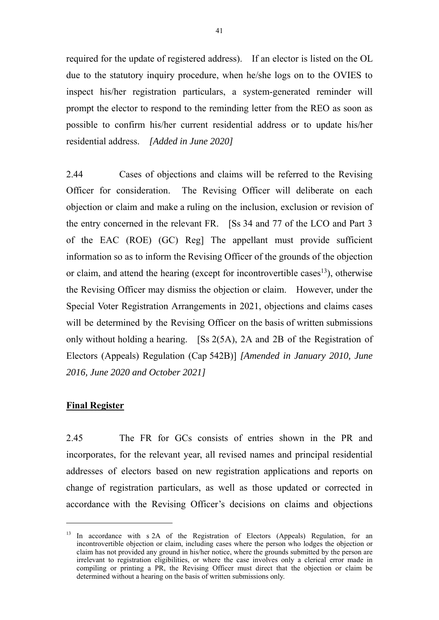required for the update of registered address). If an elector is listed on the OL due to the statutory inquiry procedure, when he/she logs on to the OVIES to inspect his/her registration particulars, a system-generated reminder will prompt the elector to respond to the reminding letter from the REO as soon as possible to confirm his/her current residential address or to update his/her residential address. *[Added in June 2020]* 

2.44 Cases of objections and claims will be referred to the Revising Officer for consideration. The Revising Officer will deliberate on each objection or claim and make a ruling on the inclusion, exclusion or revision of the entry concerned in the relevant FR. [Ss 34 and 77 of the LCO and Part 3 of the EAC (ROE) (GC) Reg] The appellant must provide sufficient information so as to inform the Revising Officer of the grounds of the objection or claim, and attend the hearing (except for incontrovertible cases<sup>13</sup>), otherwise the Revising Officer may dismiss the objection or claim. However, under the Special Voter Registration Arrangements in 2021, objections and claims cases will be determined by the Revising Officer on the basis of written submissions only without holding a hearing. [Ss 2(5A), 2A and 2B of the Registration of Electors (Appeals) Regulation (Cap 542B)] *[Amended in January 2010, June 2016, June 2020 and October 2021]* 

#### **Final Register**

 $\overline{a}$ 

2.45 The FR for GCs consists of entries shown in the PR and incorporates, for the relevant year, all revised names and principal residential addresses of electors based on new registration applications and reports on change of registration particulars, as well as those updated or corrected in accordance with the Revising Officer's decisions on claims and objections

<sup>&</sup>lt;sup>13</sup> In accordance with s 2A of the Registration of Electors (Appeals) Regulation, for an incontrovertible objection or claim, including cases where the person who lodges the objection or claim has not provided any ground in his/her notice, where the grounds submitted by the person are irrelevant to registration eligibilities, or where the case involves only a clerical error made in compiling or printing a PR, the Revising Officer must direct that the objection or claim be determined without a hearing on the basis of written submissions only.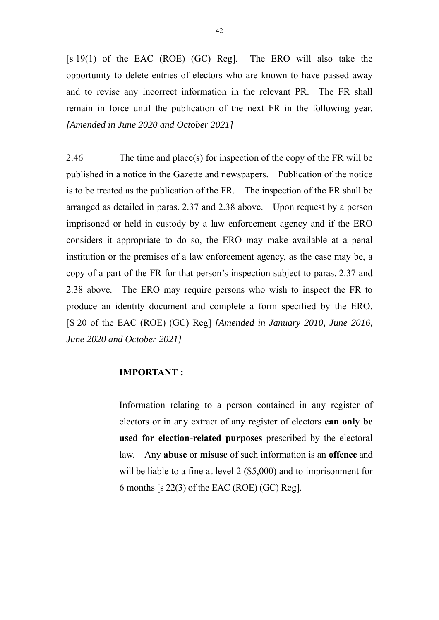[s 19(1) of the EAC (ROE) (GC) Reg]. The ERO will also take the opportunity to delete entries of electors who are known to have passed away and to revise any incorrect information in the relevant PR. The FR shall remain in force until the publication of the next FR in the following year. *[Amended in June 2020 and October 2021]* 

2.46 The time and place(s) for inspection of the copy of the FR will be published in a notice in the Gazette and newspapers. Publication of the notice is to be treated as the publication of the FR. The inspection of the FR shall be arranged as detailed in paras. 2.37 and 2.38 above. Upon request by a person imprisoned or held in custody by a law enforcement agency and if the ERO considers it appropriate to do so, the ERO may make available at a penal institution or the premises of a law enforcement agency, as the case may be, a copy of a part of the FR for that person's inspection subject to paras. 2.37 and 2.38 above. The ERO may require persons who wish to inspect the FR to produce an identity document and complete a form specified by the ERO. [S 20 of the EAC (ROE) (GC) Reg] *[Amended in January 2010, June 2016, June 2020 and October 2021]*

#### **IMPORTANT :**

Information relating to a person contained in any register of electors or in any extract of any register of electors **can only be used for election-related purposes** prescribed by the electoral law. Any **abuse** or **misuse** of such information is an **offence** and will be liable to a fine at level 2 (\$5,000) and to imprisonment for 6 months [s 22(3) of the EAC (ROE) (GC) Reg].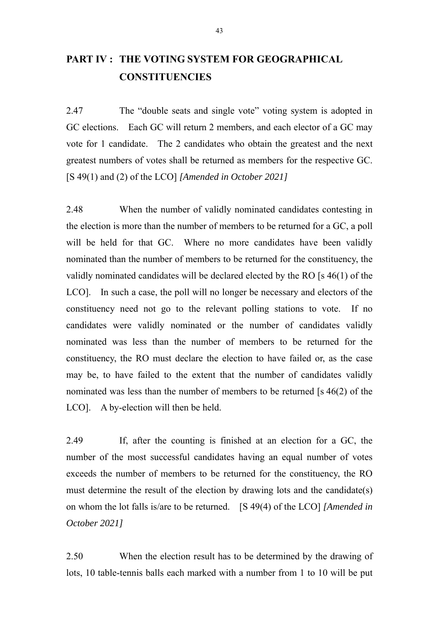# **PART IV : THE VOTING SYSTEM FOR GEOGRAPHICAL CONSTITUENCIES**

2.47 The "double seats and single vote" voting system is adopted in GC elections. Each GC will return 2 members, and each elector of a GC may vote for 1 candidate. The 2 candidates who obtain the greatest and the next greatest numbers of votes shall be returned as members for the respective GC. [S 49(1) and (2) of the LCO] *[Amended in October 2021]*

2.48 When the number of validly nominated candidates contesting in the election is more than the number of members to be returned for a GC, a poll will be held for that GC. Where no more candidates have been validly nominated than the number of members to be returned for the constituency, the validly nominated candidates will be declared elected by the RO [s 46(1) of the LCO]. In such a case, the poll will no longer be necessary and electors of the constituency need not go to the relevant polling stations to vote. If no candidates were validly nominated or the number of candidates validly nominated was less than the number of members to be returned for the constituency, the RO must declare the election to have failed or, as the case may be, to have failed to the extent that the number of candidates validly nominated was less than the number of members to be returned [s 46(2) of the LCO]. A by-election will then be held.

2.49 If, after the counting is finished at an election for a GC, the number of the most successful candidates having an equal number of votes exceeds the number of members to be returned for the constituency, the RO must determine the result of the election by drawing lots and the candidate(s) on whom the lot falls is/are to be returned. [S 49(4) of the LCO] *[Amended in October 2021]* 

2.50 When the election result has to be determined by the drawing of lots, 10 table-tennis balls each marked with a number from 1 to 10 will be put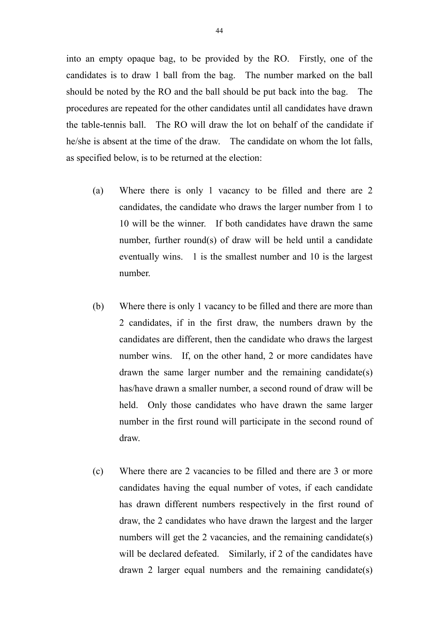into an empty opaque bag, to be provided by the RO. Firstly, one of the candidates is to draw 1 ball from the bag. The number marked on the ball should be noted by the RO and the ball should be put back into the bag. The procedures are repeated for the other candidates until all candidates have drawn the table-tennis ball. The RO will draw the lot on behalf of the candidate if he/she is absent at the time of the draw. The candidate on whom the lot falls, as specified below, is to be returned at the election:

- (a) Where there is only 1 vacancy to be filled and there are 2 candidates, the candidate who draws the larger number from 1 to 10 will be the winner. If both candidates have drawn the same number, further round(s) of draw will be held until a candidate eventually wins. 1 is the smallest number and 10 is the largest number.
- (b) Where there is only 1 vacancy to be filled and there are more than 2 candidates, if in the first draw, the numbers drawn by the candidates are different, then the candidate who draws the largest number wins. If, on the other hand, 2 or more candidates have drawn the same larger number and the remaining candidate(s) has/have drawn a smaller number, a second round of draw will be held. Only those candidates who have drawn the same larger number in the first round will participate in the second round of draw.
- (c) Where there are 2 vacancies to be filled and there are 3 or more candidates having the equal number of votes, if each candidate has drawn different numbers respectively in the first round of draw, the 2 candidates who have drawn the largest and the larger numbers will get the 2 vacancies, and the remaining candidate(s) will be declared defeated. Similarly, if 2 of the candidates have drawn 2 larger equal numbers and the remaining candidate(s)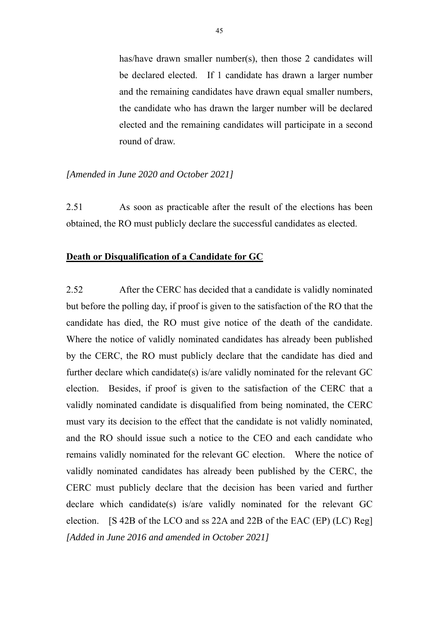has/have drawn smaller number(s), then those 2 candidates will be declared elected. If 1 candidate has drawn a larger number and the remaining candidates have drawn equal smaller numbers, the candidate who has drawn the larger number will be declared elected and the remaining candidates will participate in a second round of draw.

#### *[Amended in June 2020 and October 2021]*

2.51 As soon as practicable after the result of the elections has been obtained, the RO must publicly declare the successful candidates as elected.

#### **Death or Disqualification of a Candidate for GC**

2.52 After the CERC has decided that a candidate is validly nominated but before the polling day, if proof is given to the satisfaction of the RO that the candidate has died, the RO must give notice of the death of the candidate. Where the notice of validly nominated candidates has already been published by the CERC, the RO must publicly declare that the candidate has died and further declare which candidate(s) is/are validly nominated for the relevant GC election. Besides, if proof is given to the satisfaction of the CERC that a validly nominated candidate is disqualified from being nominated, the CERC must vary its decision to the effect that the candidate is not validly nominated, and the RO should issue such a notice to the CEO and each candidate who remains validly nominated for the relevant GC election. Where the notice of validly nominated candidates has already been published by the CERC, the CERC must publicly declare that the decision has been varied and further declare which candidate(s) is/are validly nominated for the relevant GC election. [S 42B of the LCO and ss 22A and 22B of the EAC (EP) (LC) Reg] *[Added in June 2016 and amended in October 2021]*